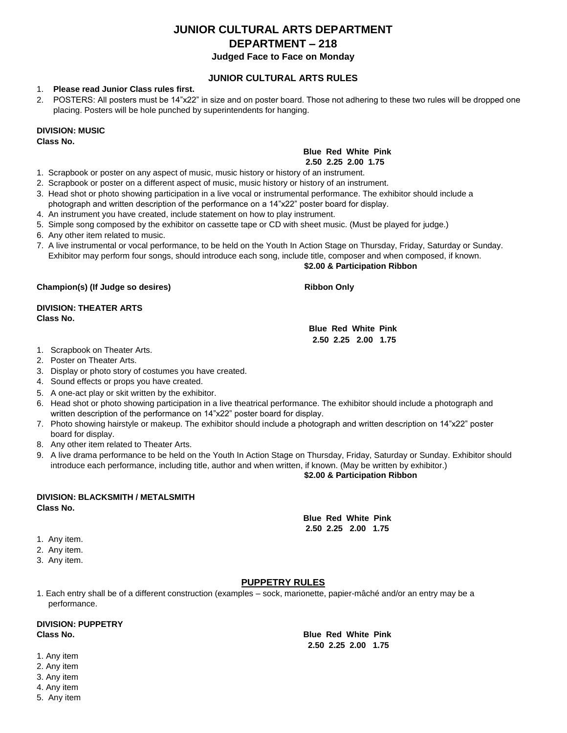# **JUNIOR CULTURAL ARTS DEPARTMENT DEPARTMENT – 218**

**Judged Face to Face on Monday** 

#### **JUNIOR CULTURAL ARTS RULES**

#### 1. **Please read Junior Class rules first.**

2. POSTERS: All posters must be 14"x22" in size and on poster board. Those not adhering to these two rules will be dropped one placing. Posters will be hole punched by superintendents for hanging.

### **DIVISION: MUSIC**

**Class No.** 

#### **Blue Red White Pink**

#### **2.50 2.25 2.00 1.75**

- 1. Scrapbook or poster on any aspect of music, music history or history of an instrument.
- 2. Scrapbook or poster on a different aspect of music, music history or history of an instrument.
- 3. Head shot or photo showing participation in a live vocal or instrumental performance. The exhibitor should include a photograph and written description of the performance on a 14"x22" poster board for display.
- 4. An instrument you have created, include statement on how to play instrument.
- 5. Simple song composed by the exhibitor on cassette tape or CD with sheet music. (Must be played for judge.)
- 6. Any other item related to music.
- 7. A live instrumental or vocal performance, to be held on the Youth In Action Stage on Thursday, Friday, Saturday or Sunday. Exhibitor may perform four songs, should introduce each song, include title, composer and when composed, if known.

#### **\$2.00 & Participation Ribbon**

**Champion(s) (If Judge so desires) All results and Ribbon Only results and Ribbon Only in the Ribbon Only in the Ribbon Only in the Ribbon Only in the Ribbon Only in the Ribbon Only in the Ribbon Only in the Ribbon Only in** 

**DIVISION: THEATER ARTS Class No.** 

**Blue Red White Pink 2.50 2.25 2.00 1.75** 

- 1. Scrapbook on Theater Arts.
- 2. Poster on Theater Arts.
- 3. Display or photo story of costumes you have created.
- 4. Sound effects or props you have created.
- 5. A one-act play or skit written by the exhibitor.
- 6. Head shot or photo showing participation in a live theatrical performance. The exhibitor should include a photograph and written description of the performance on 14"x22" poster board for display.
- 7. Photo showing hairstyle or makeup. The exhibitor should include a photograph and written description on 14"x22" poster board for display.
- 8. Any other item related to Theater Arts.
- 9. A live drama performance to be held on the Youth In Action Stage on Thursday, Friday, Saturday or Sunday. Exhibitor should introduce each performance, including title, author and when written, if known. (May be written by exhibitor.)

#### **\$2.00 & Participation Ribbon**

#### **DIVISION: BLACKSMITH / METALSMITH Class No.**

**Blue Red White Pink 2.50 2.25 2.00 1.75** 

- 1. Any item.
- 2. Any item.
- 3. Any item.

#### **PUPPETRY RULES**

1. Each entry shall be of a different construction (examples – sock, marionette, papier-mâché and/or an entry may be a performance.

# **DIVISION: PUPPETRY**

**Class No. Blue Red White Pink 2.50 2.25 2.00 1.75** 

- 1. Any item
- 2. Any item 3. Any item
- 4. Any item
- 5. Any item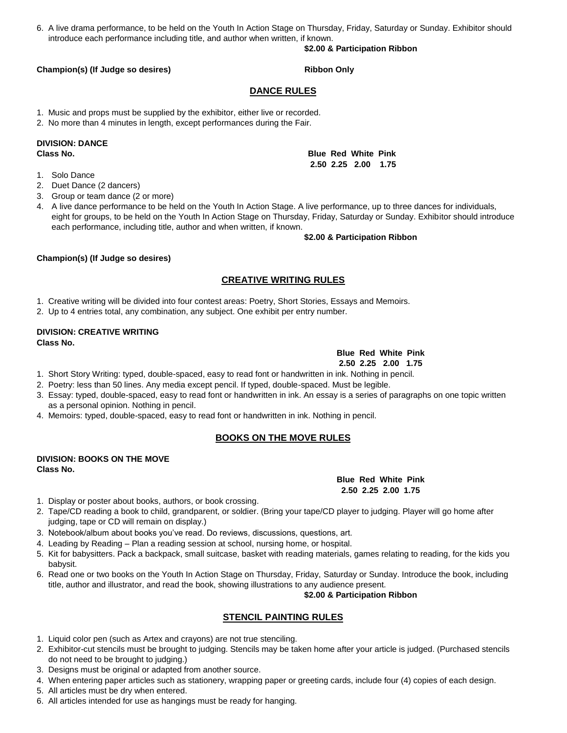6. A live drama performance, to be held on the Youth In Action Stage on Thursday, Friday, Saturday or Sunday. Exhibitor should introduce each performance including title, and author when written, if known.

#### **\$2.00 & Participation Ribbon**

#### **Champion(s) (If Judge so desires) All results and Ribbon Only Ribbon Only and Ribbon Only and Ribbon Only 10 and Ribbon Only 10 and Ribbon Only 10 and Ribbon Only 10 and Ribbon Only 10 and Ribbon Only 10 and Ribbon Only 1**

#### **DANCE RULES**

1. Music and props must be supplied by the exhibitor, either live or recorded.

2. No more than 4 minutes in length, except performances during the Fair.

# **DIVISION: DANCE**

- 1. Solo Dance
- 2. Duet Dance (2 dancers)
- 3. Group or team dance (2 or more)
- 4. A live dance performance to be held on the Youth In Action Stage. A live performance, up to three dances for individuals, eight for groups, to be held on the Youth In Action Stage on Thursday, Friday, Saturday or Sunday. Exhibitor should introduce each performance, including title, author and when written, if known.

#### **\$2.00 & Participation Ribbon**

#### **Champion(s) (If Judge so desires)**

#### **CREATIVE WRITING RULES**

1. Creative writing will be divided into four contest areas: Poetry, Short Stories, Essays and Memoirs.

2. Up to 4 entries total, any combination, any subject. One exhibit per entry number.

#### **DIVISION: CREATIVE WRITING Class No.**

### **Blue Red White Pink**

**Blue Red White Pink 2.50 2.25 2.00 1.75** 

- 1. Short Story Writing: typed, double-spaced, easy to read font or handwritten in ink. Nothing in pencil.
- 2. Poetry: less than 50 lines. Any media except pencil. If typed, double-spaced. Must be legible.
- 3. Essay: typed, double-spaced, easy to read font or handwritten in ink. An essay is a series of paragraphs on one topic written as a personal opinion. Nothing in pencil.
- 4. Memoirs: typed, double-spaced, easy to read font or handwritten in ink. Nothing in pencil.

#### **BOOKS ON THE MOVE RULES**

#### **DIVISION: BOOKS ON THE MOVE Class No.**

1. Display or poster about books, authors, or book crossing.

- 2. Tape/CD reading a book to child, grandparent, or soldier. (Bring your tape/CD player to judging. Player will go home after judging, tape or CD will remain on display.)
- 3. Notebook/album about books you've read. Do reviews, discussions, questions, art.
- 4. Leading by Reading Plan a reading session at school, nursing home, or hospital.
- 5. Kit for babysitters. Pack a backpack, small suitcase, basket with reading materials, games relating to reading, for the kids you babysit.
- 6. Read one or two books on the Youth In Action Stage on Thursday, Friday, Saturday or Sunday. Introduce the book, including title, author and illustrator, and read the book, showing illustrations to any audience present.

**\$2.00 & Participation Ribbon** 

#### **STENCIL PAINTING RULES**

- 1. Liquid color pen (such as Artex and crayons) are not true stenciling.
- 2. Exhibitor-cut stencils must be brought to judging. Stencils may be taken home after your article is judged. (Purchased stencils do not need to be brought to judging.)
- 3. Designs must be original or adapted from another source.
- 4. When entering paper articles such as stationery, wrapping paper or greeting cards, include four (4) copies of each design.
- 5. All articles must be dry when entered.
- 6. All articles intended for use as hangings must be ready for hanging.

#### **Class No. Blue Red White Pink 2.50 2.25 2.00 1.75**

**2.50 2.25 2.00 1.75**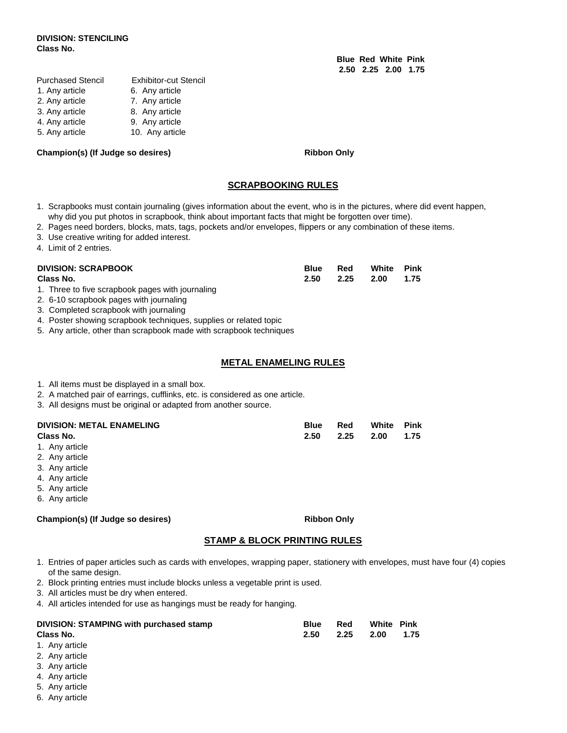#### **DIVISION: STENCILING Class No.**

| Purchased Stencil | Exhibitor-cut Stencil |
|-------------------|-----------------------|
| 1. Any article    | 6. Any article        |
| 2. Any article    | 7. Any article        |
| 3. Any article    | 8. Any article        |
| 4. Any article    | 9. Any article        |
| 5. Any article    | 10. Any article       |
|                   |                       |

#### Champion(s) (If Judge so desires) **Ribbon Only**

**Blue Red White Pink 2.50 2.25 2.00 1.75** 

#### **SCRAPBOOKING RULES**

- 1. Scrapbooks must contain journaling (gives information about the event, who is in the pictures, where did event happen, why did you put photos in scrapbook, think about important facts that might be forgotten over time).
- 2. Pages need borders, blocks, mats, tags, pockets and/or envelopes, flippers or any combination of these items.
- 3. Use creative writing for added interest.
- 4. Limit of 2 entries.

| <b>DIVISION: SCRAPBOOK</b> | <b>Blue</b> | Red | White          | Pink |
|----------------------------|-------------|-----|----------------|------|
| Class No.                  | 2.50        |     | 2.25 2.00 1.75 |      |
|                            |             |     |                |      |

- 1. Three to five scrapbook pages with journaling
- 2. 6-10 scrapbook pages with journaling
- 3. Completed scrapbook with journaling

4. Poster showing scrapbook techniques, supplies or related topic

5. Any article, other than scrapbook made with scrapbook techniques

#### **METAL ENAMELING RULES**

- 1. All items must be displayed in a small box.
- 2. A matched pair of earrings, cufflinks, etc. is considered as one article.
- 3. All designs must be original or adapted from another source.

| <b>DIVISION: METAL ENAMELING</b> | <b>Blue</b> | Red | White               | Pink |
|----------------------------------|-------------|-----|---------------------|------|
| Class No.                        |             |     | 2.50 2.25 2.00 1.75 |      |

- 1. Any article
- 2. Any article
- 3. Any article
- 4. Any article
- 5. Any article
- 6. Any article

#### Champion(s) (If Judge so desires) **Ribbon Only** Ribbon Only

#### **STAMP & BLOCK PRINTING RULES**

- 1. Entries of paper articles such as cards with envelopes, wrapping paper, stationery with envelopes, must have four (4) copies of the same design.
- 2. Block printing entries must include blocks unless a vegetable print is used.
- 3. All articles must be dry when entered.
- 4. All articles intended for use as hangings must be ready for hanging.

| DIVISION: STAMPING with purchased stamp | <b>Blue</b> | Red  | <b>White Pink</b> |      |
|-----------------------------------------|-------------|------|-------------------|------|
| Class No.                               | 2.50        | 2.25 | - 2.00            | 1.75 |
| 1. Any article                          |             |      |                   |      |

- 2. Any article
- 3. Any article
- 4. Any article
- 5. Any article
- 6. Any article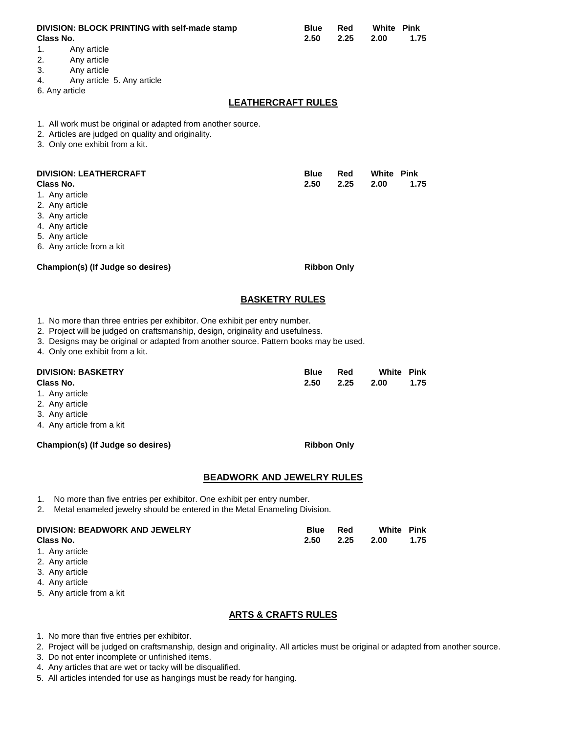| DIVISION: BLOCK PRINTING with self-made stamp<br>Class No.<br>1.<br>Any article<br>2.<br>Any article<br>3.<br>Any article<br>Any article 5. Any article<br>4.<br>6. Any article                                                                                                           | <b>Blue</b><br>2.50<br><b>LEATHERCRAFT RULES</b> | Red<br>2.25 | <b>White Pink</b><br>2.00 | 1.75                      |
|-------------------------------------------------------------------------------------------------------------------------------------------------------------------------------------------------------------------------------------------------------------------------------------------|--------------------------------------------------|-------------|---------------------------|---------------------------|
| 1. All work must be original or adapted from another source.<br>2. Articles are judged on quality and originality.<br>3. Only one exhibit from a kit.                                                                                                                                     |                                                  |             |                           |                           |
| <b>DIVISION: LEATHERCRAFT</b><br>Class No.<br>1. Any article<br>2. Any article<br>3. Any article<br>4. Any article<br>5. Any article<br>6. Any article from a kit                                                                                                                         | <b>Blue</b><br>2.50                              | Red<br>2.25 | <b>White Pink</b><br>2.00 | 1.75                      |
| Champion(s) (If Judge so desires)                                                                                                                                                                                                                                                         | <b>Ribbon Only</b>                               |             |                           |                           |
|                                                                                                                                                                                                                                                                                           | <b>BASKETRY RULES</b>                            |             |                           |                           |
| 1. No more than three entries per exhibitor. One exhibit per entry number.<br>2. Project will be judged on craftsmanship, design, originality and usefulness.<br>3. Designs may be original or adapted from another source. Pattern books may be used.<br>4. Only one exhibit from a kit. |                                                  |             |                           |                           |
| <b>DIVISION: BASKETRY</b><br>Class No.                                                                                                                                                                                                                                                    | <b>Blue</b><br>2.50                              | Red<br>2.25 | 2.00                      | <b>White Pink</b><br>1.75 |

- 1. Any article 2. Any article
- 3. Any article
- 4. Any article from a kit

#### Champion(s) (If Judge so desires) **Ribbon Only**

#### **BEADWORK AND JEWELRY RULES**

- 1. No more than five entries per exhibitor. One exhibit per entry number.
- 2. Metal enameled jewelry should be entered in the Metal Enameling Division.

| DIVISION: BEADWORK AND JEWELRY | Blue              | Red | <b>White Pink</b> |      |
|--------------------------------|-------------------|-----|-------------------|------|
| Class No.                      | $2.50\qquad 2.25$ |     | 2.00              | 1.75 |
|                                |                   |     |                   |      |

- 1. Any article
- 2. Any article 3. Any article
- 4. Any article
- 

# 5. Any article from a kit

#### **ARTS & CRAFTS RULES**

- 1. No more than five entries per exhibitor.
- 2. Project will be judged on craftsmanship, design and originality. All articles must be original or adapted from another source.
- 3. Do not enter incomplete or unfinished items.
- 4. Any articles that are wet or tacky will be disqualified.
- 5. All articles intended for use as hangings must be ready for hanging.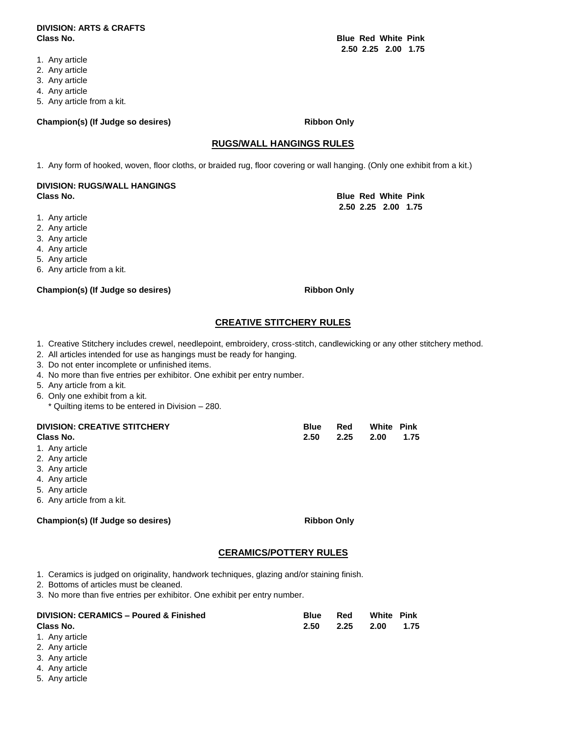#### **DIVISION: ARTS & CRAFTS Class No. Blue Red White Pink**

- 1. Any article
- 2. Any article
- 3. Any article
- 4. Any article
- 5. Any article from a kit.

#### Champion(s) (If Judge so desires) **Ribbon Only**

#### **RUGS/WALL HANGINGS RULES**

1. Any form of hooked, woven, floor cloths, or braided rug, floor covering or wall hanging. (Only one exhibit from a kit.)

#### **DIVISION: RUGS/WALL HANGINGS Class No. Blue Red White Pink**

- 1. Any article
- 2. Any article
- 3. Any article
- 4. Any article
- 5. Any article
- 6. Any article from a kit.

#### Champion(s) (If Judge so desires) **Ribbon Only**

### **CREATIVE STITCHERY RULES**

- 1. Creative Stitchery includes crewel, needlepoint, embroidery, cross-stitch, candlewicking or any other stitchery method.
- 2. All articles intended for use as hangings must be ready for hanging.
- 3. Do not enter incomplete or unfinished items.
- 4. No more than five entries per exhibitor. One exhibit per entry number.
- 5. Any article from a kit.
- 6. Only one exhibit from a kit.
	- \* Quilting items to be entered in Division 280.

| <b>DIVISION: CREATIVE STITCHERY</b> | Blue | Red            | <b>White Pink</b> |  |
|-------------------------------------|------|----------------|-------------------|--|
| Class No.                           | 2.50 | 2.25 2.00 1.75 |                   |  |

- 1. Any article
- 2. Any article
- 3. Any article
- 4. Any article
- 5. Any article
- 6. Any article from a kit.

#### Champion(s) (If Judge so desires) **Ribbon Only**

### **CERAMICS/POTTERY RULES**

- 1. Ceramics is judged on originality, handwork techniques, glazing and/or staining finish.
- 2. Bottoms of articles must be cleaned.
- 3. No more than five entries per exhibitor. One exhibit per entry number.

| <b>DIVISION: CERAMICS - Poured &amp; Finished</b>                                                   | <b>Blue</b> | Red  | <b>White Pink</b> |      |
|-----------------------------------------------------------------------------------------------------|-------------|------|-------------------|------|
| Class No.                                                                                           | 2.50        | 2.25 | -2.00             | 1.75 |
| 1. Any article                                                                                      |             |      |                   |      |
| $\bigcap_{n=1}^{\infty}$ $\bigcap_{n=1}^{\infty}$ $\bigcap_{n=1}^{\infty}$ $\bigcap_{n=1}^{\infty}$ |             |      |                   |      |

- 2. Any article
- 3. Any article
- 4. Any article
- 5. Any article

 **2.50 2.25 2.00 1.75** 

**2.50 2.25 2.00 1.75**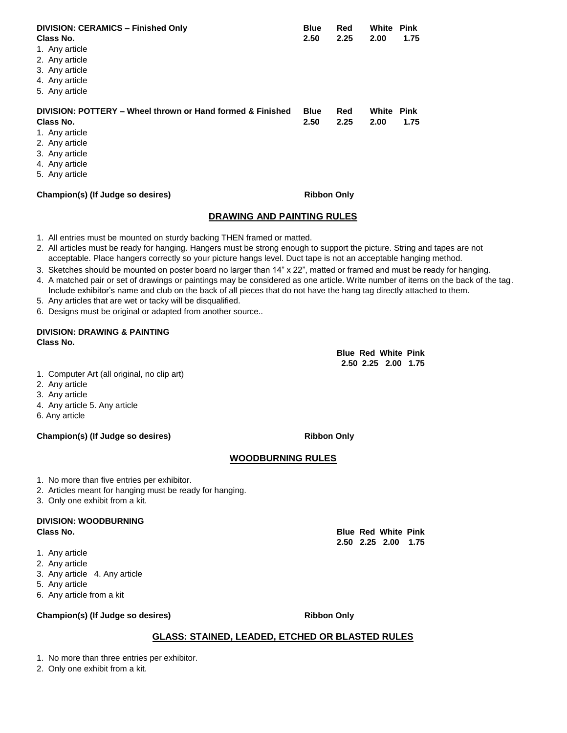| <b>DIVISION: CERAMICS - Finished Only</b><br>Class No.                                                                                          | <b>Blue</b><br>2.50 | Red<br>2.25 | White<br>2.00 | Pink<br>1.75 |
|-------------------------------------------------------------------------------------------------------------------------------------------------|---------------------|-------------|---------------|--------------|
| 1. Any article                                                                                                                                  |                     |             |               |              |
| 2. Any article<br>3. Any article                                                                                                                |                     |             |               |              |
| 4. Any article                                                                                                                                  |                     |             |               |              |
| 5. Any article                                                                                                                                  |                     |             |               |              |
| DIVISION: POTTERY – Wheel thrown or Hand formed & Finished<br>Class No.<br>1. Any article<br>2. Any article<br>3. Any article<br>4. Any article | <b>Blue</b><br>2.50 | Red<br>2.25 | White<br>2.00 | Pink<br>1.75 |
| 5. Any article                                                                                                                                  |                     |             |               |              |
| Champion(s) (If Judge so desires)                                                                                                               | <b>Ribbon Only</b>  |             |               |              |

#### **DRAWING AND PAINTING RULES**

- 1. All entries must be mounted on sturdy backing THEN framed or matted.
- 2. All articles must be ready for hanging. Hangers must be strong enough to support the picture. String and tapes are not acceptable. Place hangers correctly so your picture hangs level. Duct tape is not an acceptable hanging method.
- 3. Sketches should be mounted on poster board no larger than 14" x 22", matted or framed and must be ready for hanging.
- 4. A matched pair or set of drawings or paintings may be considered as one article. Write number of items on the back of the tag. Include exhibitor's name and club on the back of all pieces that do not have the hang tag directly attached to them.
- 5. Any articles that are wet or tacky will be disqualified.
- 6. Designs must be original or adapted from another source..

#### **DIVISION: DRAWING & PAINTING Class No.**

**Blue Red White Pink 2.50 2.25 2.00 1.75** 

- 1. Computer Art (all original, no clip art)
- 2. Any article
- 3. Any article
- 4. Any article 5. Any article
- 6. Any article

#### Champion(s) (If Judge so desires) **Ribbon Only**

#### **WOODBURNING RULES**

- 1. No more than five entries per exhibitor.
- 2. Articles meant for hanging must be ready for hanging.
- 3. Only one exhibit from a kit.

#### **DIVISION: WOODBURNING Class No. Blue Red White Pink**

- 1. Any article
- 2. Any article
- 3. Any article 4. Any article
- 5. Any article
- 6. Any article from a kit

#### Champion(s) (If Judge so desires) **Ribbon Only**

#### **GLASS: STAINED, LEADED, ETCHED OR BLASTED RULES**

1. No more than three entries per exhibitor.

2. Only one exhibit from a kit.

**2.50 2.25 2.00 1.75**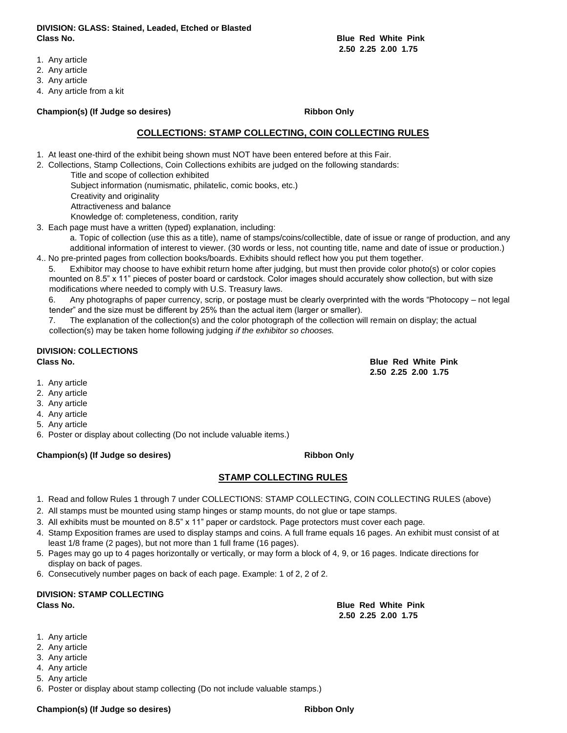**DIVISION: GLASS: Stained, Leaded, Etched or Blasted Class No. Blue Red White Pink** 

**2.50 2.25 2.00 1.75** 

- 1. Any article
- 2. Any article
- 3. Any article
- 4. Any article from a kit

#### **Champion(s) (If Judge so desires) Ribbon Only**

#### **COLLECTIONS: STAMP COLLECTING, COIN COLLECTING RULES**

- 1. At least one-third of the exhibit being shown must NOT have been entered before at this Fair.
- 2. Collections, Stamp Collections, Coin Collections exhibits are judged on the following standards:
	- Title and scope of collection exhibited Subject information (numismatic, philatelic, comic books, etc.) Creativity and originality Attractiveness and balance

Knowledge of: completeness, condition, rarity

3. Each page must have a written (typed) explanation, including:

- a. Topic of collection (use this as a title), name of stamps/coins/collectible, date of issue or range of production, and any additional information of interest to viewer. (30 words or less, not counting title, name and date of issue or production.) 4.. No pre-printed pages from collection books/boards. Exhibits should reflect how you put them together.
- 5. Exhibitor may choose to have exhibit return home after judging, but must then provide color photo(s) or color copies mounted on 8.5" x 11" pieces of poster board or cardstock. Color images should accurately show collection, but with size modifications where needed to comply with U.S. Treasury laws.
	- 6. Any photographs of paper currency, scrip, or postage must be clearly overprinted with the words "Photocopy not legal tender" and the size must be different by 25% than the actual item (larger or smaller).

7. The explanation of the collection(s) and the color photograph of the collection will remain on display; the actual collection(s) may be taken home following judging *if the exhibitor so chooses.* 

## **DIVISION: COLLECTIONS**

- 1. Any article
- 2. Any article
- 3. Any article
- 4. Any article
- 5. Any article
- 6. Poster or display about collecting (Do not include valuable items.)

#### **Champion(s) (If Judge so desires) Ribbon Only**

#### **STAMP COLLECTING RULES**

- 1. Read and follow Rules 1 through 7 under COLLECTIONS: STAMP COLLECTING, COIN COLLECTING RULES (above)
- 2. All stamps must be mounted using stamp hinges or stamp mounts, do not glue or tape stamps.
- 3. All exhibits must be mounted on 8.5" x 11" paper or cardstock. Page protectors must cover each page.
- 4. Stamp Exposition frames are used to display stamps and coins. A full frame equals 16 pages. An exhibit must consist of at least 1/8 frame (2 pages), but not more than 1 full frame (16 pages).
- 5. Pages may go up to 4 pages horizontally or vertically, or may form a block of 4, 9, or 16 pages. Indicate directions for display on back of pages.
- 6. Consecutively number pages on back of each page. Example: 1 of 2, 2 of 2.

#### **DIVISION: STAMP COLLECTING Class No. Blue Red White Pink**

**2.50 2.25 2.00 1.75** 

- 1. Any article
- 2. Any article
- 3. Any article
- 4. Any article
- 5. Any article
- 6. Poster or display about stamp collecting (Do not include valuable stamps.)

#### Champion(s) (If Judge so desires) **Ribbon Only** Ribbon Only

**Class No. Blue Red White Pink 2.50 2.25 2.00 1.75**